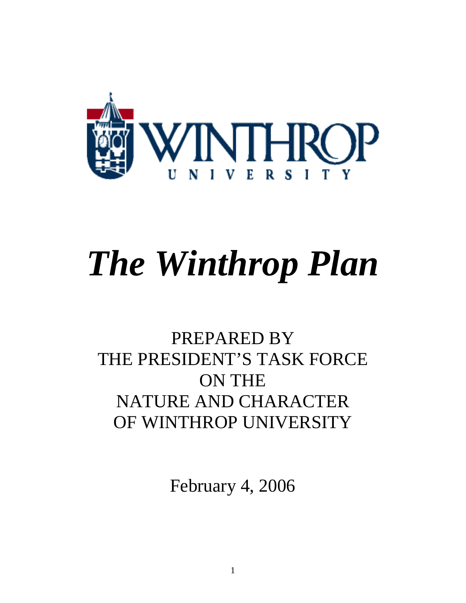

# *The Winthrop Plan*

## PREPARED BY THE PRESIDENT'S TASK FORCE ON THE NATURE AND CHARACTER OF WINTHROP UNIVERSITY

February 4, 2006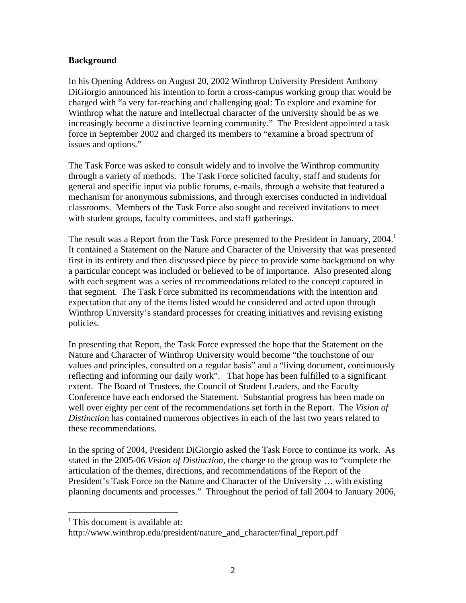#### **Background**

In his Opening Address on August 20, 2002 Winthrop University President Anthony DiGiorgio announced his intention to form a cross-campus working group that would be charged with "a very far-reaching and challenging goal: To explore and examine for Winthrop what the nature and intellectual character of the university should be as we increasingly become a distinctive learning community." The President appointed a task force in September 2002 and charged its members to "examine a broad spectrum of issues and options."

The Task Force was asked to consult widely and to involve the Winthrop community through a variety of methods. The Task Force solicited faculty, staff and students for general and specific input via public forums, e-mails, through a website that featured a mechanism for anonymous submissions, and through exercises conducted in individual classrooms. Members of the Task Force also sought and received invitations to meet with student groups, faculty committees, and staff gatherings.

The result was a Report from the Task Force presented to the President in January,  $2004$ .<sup>1</sup> It contained a Statement on the Nature and Character of the University that was presented first in its entirety and then discussed piece by piece to provide some background on why a particular concept was included or believed to be of importance. Also presented along with each segment was a series of recommendations related to the concept captured in that segment. The Task Force submitted its recommendations with the intention and expectation that any of the items listed would be considered and acted upon through Winthrop University's standard processes for creating initiatives and revising existing policies.

In presenting that Report, the Task Force expressed the hope that the Statement on the Nature and Character of Winthrop University would become "the touchstone of our values and principles, consulted on a regular basis" and a "living document, continuously reflecting and informing our daily work". That hope has been fulfilled to a significant extent. The Board of Trustees, the Council of Student Leaders, and the Faculty Conference have each endorsed the Statement. Substantial progress has been made on well over eighty per cent of the recommendations set forth in the Report. The *Vision of Distinction* has contained numerous objectives in each of the last two years related to these recommendations.

In the spring of 2004, President DiGiorgio asked the Task Force to continue its work. As stated in the 2005-06 *Vision of Distinction*, the charge to the group was to "complete the articulation of the themes, directions, and recommendations of the Report of the President's Task Force on the Nature and Character of the University … with existing planning documents and processes." Throughout the period of fall 2004 to January 2006,

1

<sup>&</sup>lt;sup>1</sup> This document is available at:

http://www.winthrop.edu/president/nature and character/final report.pdf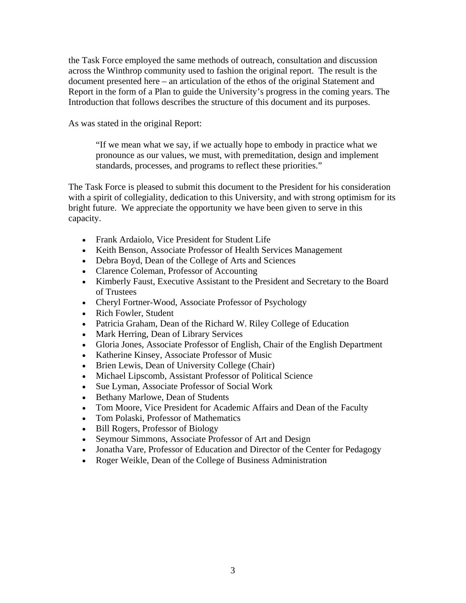the Task Force employed the same methods of outreach, consultation and discussion across the Winthrop community used to fashion the original report. The result is the document presented here – an articulation of the ethos of the original Statement and Report in the form of a Plan to guide the University's progress in the coming years. The Introduction that follows describes the structure of this document and its purposes.

As was stated in the original Report:

"If we mean what we say, if we actually hope to embody in practice what we pronounce as our values, we must, with premeditation, design and implement standards, processes, and programs to reflect these priorities."

The Task Force is pleased to submit this document to the President for his consideration with a spirit of collegiality, dedication to this University, and with strong optimism for its bright future. We appreciate the opportunity we have been given to serve in this capacity.

- Frank Ardaiolo, Vice President for Student Life
- Keith Benson, Associate Professor of Health Services Management
- Debra Boyd, Dean of the College of Arts and Sciences
- Clarence Coleman, Professor of Accounting
- Kimberly Faust, Executive Assistant to the President and Secretary to the Board of Trustees
- Cheryl Fortner-Wood, Associate Professor of Psychology
- Rich Fowler, Student
- Patricia Graham, Dean of the Richard W. Riley College of Education
- Mark Herring, Dean of Library Services
- Gloria Jones, Associate Professor of English, Chair of the English Department
- Katherine Kinsey, Associate Professor of Music
- Brien Lewis, Dean of University College (Chair)
- Michael Lipscomb, Assistant Professor of Political Science
- Sue Lyman, Associate Professor of Social Work
- Bethany Marlowe, Dean of Students
- Tom Moore, Vice President for Academic Affairs and Dean of the Faculty
- Tom Polaski, Professor of Mathematics
- Bill Rogers, Professor of Biology
- Seymour Simmons, Associate Professor of Art and Design
- Jonatha Vare, Professor of Education and Director of the Center for Pedagogy
- Roger Weikle, Dean of the College of Business Administration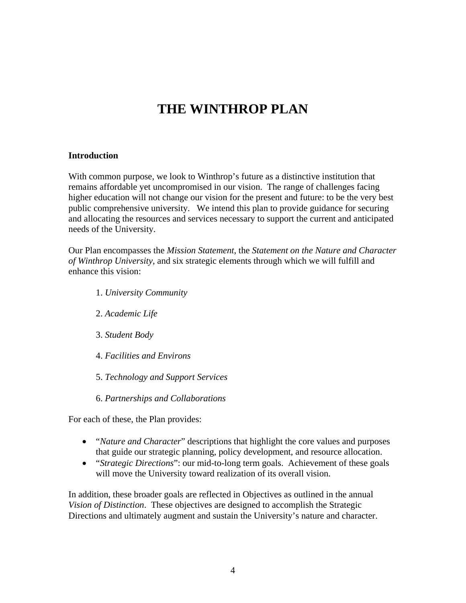### **THE WINTHROP PLAN**

#### **Introduction**

With common purpose, we look to Winthrop's future as a distinctive institution that remains affordable yet uncompromised in our vision. The range of challenges facing higher education will not change our vision for the present and future: to be the very best public comprehensive university. We intend this plan to provide guidance for securing and allocating the resources and services necessary to support the current and anticipated needs of the University.

Our Plan encompasses the *Mission Statement*, the *Statement on the Nature and Character of Winthrop University*, and six strategic elements through which we will fulfill and enhance this vision:

- 1. *University Community*
- 2. *Academic Life*
- 3. *Student Body*
- 4. *Facilities and Environs*
- 5. *Technology and Support Services*
- 6. *Partnerships and Collaborations*

For each of these, the Plan provides:

- "*Nature and Character*" descriptions that highlight the core values and purposes that guide our strategic planning, policy development, and resource allocation.
- "*Strategic Directions*": our mid-to-long term goals. Achievement of these goals will move the University toward realization of its overall vision.

In addition, these broader goals are reflected in Objectives as outlined in the annual *Vision of Distinction*. These objectives are designed to accomplish the Strategic Directions and ultimately augment and sustain the University's nature and character.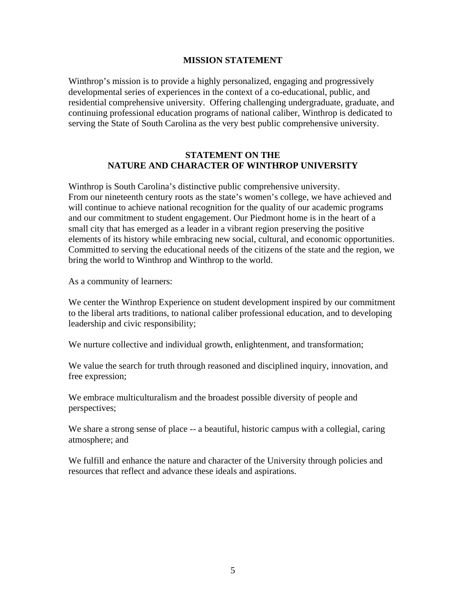#### **MISSION STATEMENT**

Winthrop's mission is to provide a highly personalized, engaging and progressively developmental series of experiences in the context of a co-educational, public, and residential comprehensive university. Offering challenging undergraduate, graduate, and continuing professional education programs of national caliber, Winthrop is dedicated to serving the State of South Carolina as the very best public comprehensive university.

#### **STATEMENT ON THE NATURE AND CHARACTER OF WINTHROP UNIVERSITY**

Winthrop is South Carolina's distinctive public comprehensive university. From our nineteenth century roots as the state's women's college, we have achieved and will continue to achieve national recognition for the quality of our academic programs and our commitment to student engagement. Our Piedmont home is in the heart of a small city that has emerged as a leader in a vibrant region preserving the positive elements of its history while embracing new social, cultural, and economic opportunities. Committed to serving the educational needs of the citizens of the state and the region, we bring the world to Winthrop and Winthrop to the world.

As a community of learners:

We center the Winthrop Experience on student development inspired by our commitment to the liberal arts traditions, to national caliber professional education, and to developing leadership and civic responsibility;

We nurture collective and individual growth, enlightenment, and transformation;

We value the search for truth through reasoned and disciplined inquiry, innovation, and free expression;

We embrace multiculturalism and the broadest possible diversity of people and perspectives;

We share a strong sense of place -- a beautiful, historic campus with a collegial, caring atmosphere; and

We fulfill and enhance the nature and character of the University through policies and resources that reflect and advance these ideals and aspirations.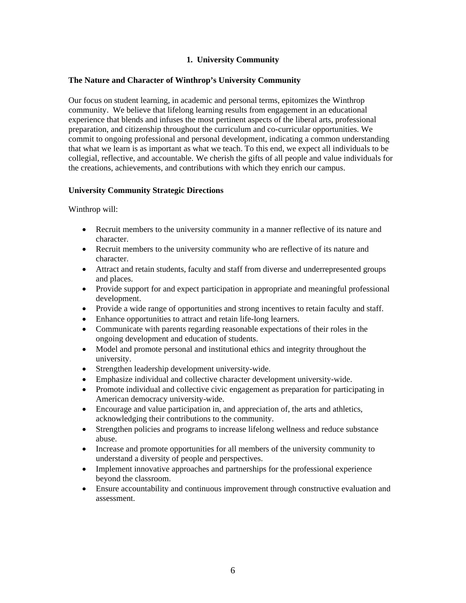#### **1. University Community**

#### **The Nature and Character of Winthrop's University Community**

Our focus on student learning, in academic and personal terms, epitomizes the Winthrop community. We believe that lifelong learning results from engagement in an educational experience that blends and infuses the most pertinent aspects of the liberal arts, professional preparation, and citizenship throughout the curriculum and co-curricular opportunities. We commit to ongoing professional and personal development, indicating a common understanding that what we learn is as important as what we teach. To this end, we expect all individuals to be collegial, reflective, and accountable. We cherish the gifts of all people and value individuals for the creations, achievements, and contributions with which they enrich our campus.

#### **University Community Strategic Directions**

- Recruit members to the university community in a manner reflective of its nature and character.
- Recruit members to the university community who are reflective of its nature and character.
- Attract and retain students, faculty and staff from diverse and underrepresented groups and places.
- Provide support for and expect participation in appropriate and meaningful professional development.
- Provide a wide range of opportunities and strong incentives to retain faculty and staff.
- Enhance opportunities to attract and retain life-long learners.
- Communicate with parents regarding reasonable expectations of their roles in the ongoing development and education of students.
- Model and promote personal and institutional ethics and integrity throughout the university.
- Strengthen leadership development university-wide.
- Emphasize individual and collective character development university-wide.
- Promote individual and collective civic engagement as preparation for participating in American democracy university-wide.
- Encourage and value participation in, and appreciation of, the arts and athletics, acknowledging their contributions to the community.
- Strengthen policies and programs to increase lifelong wellness and reduce substance abuse.
- Increase and promote opportunities for all members of the university community to understand a diversity of people and perspectives.
- Implement innovative approaches and partnerships for the professional experience beyond the classroom.
- Ensure accountability and continuous improvement through constructive evaluation and assessment.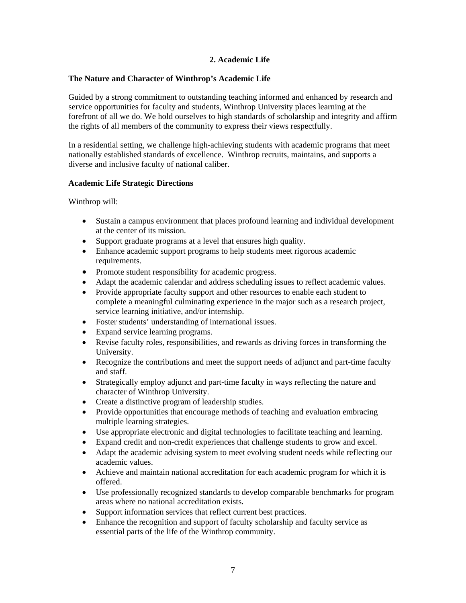#### **2. Academic Life**

#### **The Nature and Character of Winthrop's Academic Life**

Guided by a strong commitment to outstanding teaching informed and enhanced by research and service opportunities for faculty and students, Winthrop University places learning at the forefront of all we do. We hold ourselves to high standards of scholarship and integrity and affirm the rights of all members of the community to express their views respectfully.

In a residential setting, we challenge high-achieving students with academic programs that meet nationally established standards of excellence. Winthrop recruits, maintains, and supports a diverse and inclusive faculty of national caliber.

#### **Academic Life Strategic Directions**

- Sustain a campus environment that places profound learning and individual development at the center of its mission.
- Support graduate programs at a level that ensures high quality.
- Enhance academic support programs to help students meet rigorous academic requirements.
- Promote student responsibility for academic progress.
- Adapt the academic calendar and address scheduling issues to reflect academic values.
- Provide appropriate faculty support and other resources to enable each student to complete a meaningful culminating experience in the major such as a research project, service learning initiative, and/or internship.
- Foster students' understanding of international issues.
- Expand service learning programs.
- Revise faculty roles, responsibilities, and rewards as driving forces in transforming the University.
- Recognize the contributions and meet the support needs of adjunct and part-time faculty and staff.
- Strategically employ adjunct and part-time faculty in ways reflecting the nature and character of Winthrop University.
- Create a distinctive program of leadership studies.
- Provide opportunities that encourage methods of teaching and evaluation embracing multiple learning strategies.
- Use appropriate electronic and digital technologies to facilitate teaching and learning.
- Expand credit and non-credit experiences that challenge students to grow and excel.
- Adapt the academic advising system to meet evolving student needs while reflecting our academic values.
- Achieve and maintain national accreditation for each academic program for which it is offered.
- Use professionally recognized standards to develop comparable benchmarks for program areas where no national accreditation exists.
- Support information services that reflect current best practices.
- Enhance the recognition and support of faculty scholarship and faculty service as essential parts of the life of the Winthrop community.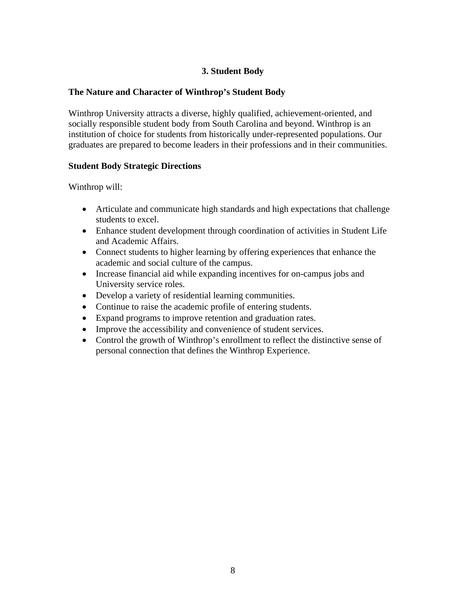#### **3. Student Body**

#### **The Nature and Character of Winthrop's Student Body**

Winthrop University attracts a diverse, highly qualified, achievement-oriented, and socially responsible student body from South Carolina and beyond. Winthrop is an institution of choice for students from historically under-represented populations. Our graduates are prepared to become leaders in their professions and in their communities.

#### **Student Body Strategic Directions**

- Articulate and communicate high standards and high expectations that challenge students to excel.
- Enhance student development through coordination of activities in Student Life and Academic Affairs.
- Connect students to higher learning by offering experiences that enhance the academic and social culture of the campus.
- Increase financial aid while expanding incentives for on-campus jobs and University service roles.
- Develop a variety of residential learning communities.
- Continue to raise the academic profile of entering students.
- Expand programs to improve retention and graduation rates.
- Improve the accessibility and convenience of student services.
- Control the growth of Winthrop's enrollment to reflect the distinctive sense of personal connection that defines the Winthrop Experience.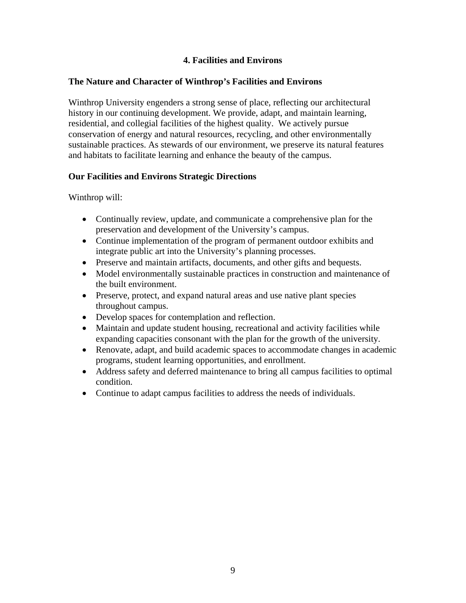#### **4. Facilities and Environs**

#### **The Nature and Character of Winthrop's Facilities and Environs**

Winthrop University engenders a strong sense of place, reflecting our architectural history in our continuing development. We provide, adapt, and maintain learning, residential, and collegial facilities of the highest quality. We actively pursue conservation of energy and natural resources, recycling, and other environmentally sustainable practices. As stewards of our environment, we preserve its natural features and habitats to facilitate learning and enhance the beauty of the campus.

#### **Our Facilities and Environs Strategic Directions**

- Continually review, update, and communicate a comprehensive plan for the preservation and development of the University's campus.
- Continue implementation of the program of permanent outdoor exhibits and integrate public art into the University's planning processes.
- Preserve and maintain artifacts, documents, and other gifts and bequests.
- Model environmentally sustainable practices in construction and maintenance of the built environment.
- Preserve, protect, and expand natural areas and use native plant species throughout campus.
- Develop spaces for contemplation and reflection.
- Maintain and update student housing, recreational and activity facilities while expanding capacities consonant with the plan for the growth of the university.
- Renovate, adapt, and build academic spaces to accommodate changes in academic programs, student learning opportunities, and enrollment.
- Address safety and deferred maintenance to bring all campus facilities to optimal condition.
- Continue to adapt campus facilities to address the needs of individuals.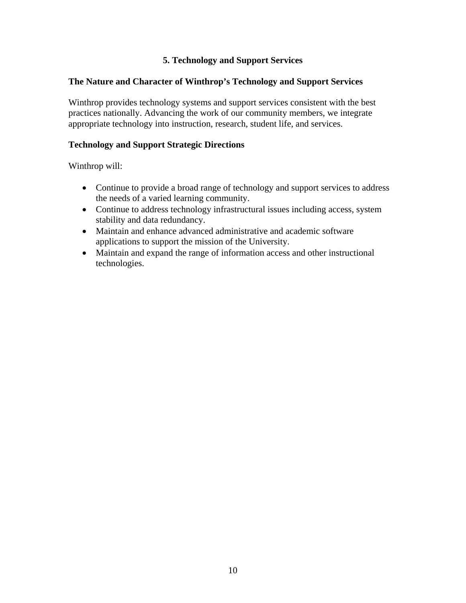#### **5. Technology and Support Services**

#### **The Nature and Character of Winthrop's Technology and Support Services**

Winthrop provides technology systems and support services consistent with the best practices nationally. Advancing the work of our community members, we integrate appropriate technology into instruction, research, student life, and services.

#### **Technology and Support Strategic Directions**

- Continue to provide a broad range of technology and support services to address the needs of a varied learning community.
- Continue to address technology infrastructural issues including access, system stability and data redundancy.
- Maintain and enhance advanced administrative and academic software applications to support the mission of the University.
- Maintain and expand the range of information access and other instructional technologies.